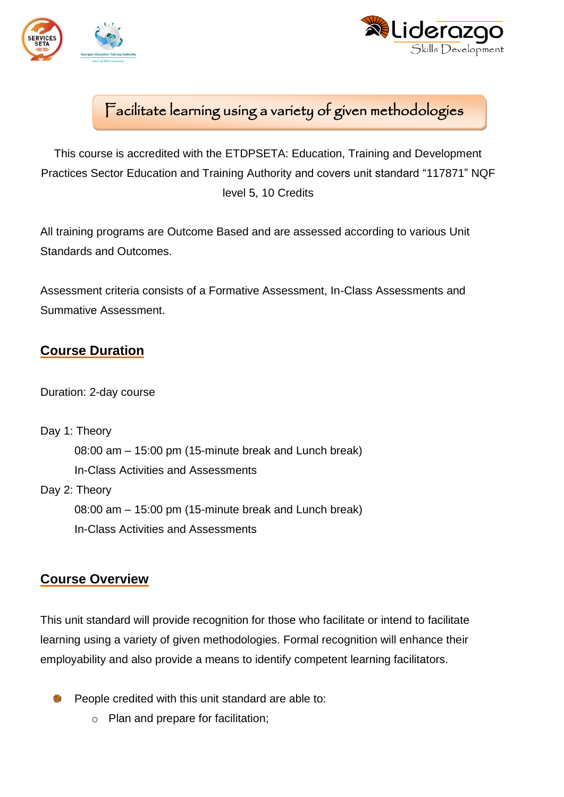



# Facilitate learning using a variety of given methodologies

This course is accredited with the ETDPSETA: Education, Training and Development Practices Sector Education and Training Authority and covers unit standard "117871" NQF level 5, 10 Credits

All training programs are Outcome Based and are assessed according to various Unit Standards and Outcomes.

Assessment criteria consists of a Formative Assessment, In-Class Assessments and Summative Assessment.

## **Course Duration**

Duration: 2-day course

Day 1: Theory

08:00 am – 15:00 pm (15-minute break and Lunch break)

In-Class Activities and Assessments

Day 2: Theory

08:00 am – 15:00 pm (15-minute break and Lunch break) In-Class Activities and Assessments

### **Course Overview**

This unit standard will provide recognition for those who facilitate or intend to facilitate learning using a variety of given methodologies. Formal recognition will enhance their employability and also provide a means to identify competent learning facilitators.

- People credited with this unit standard are able to:
	- o Plan and prepare for facilitation;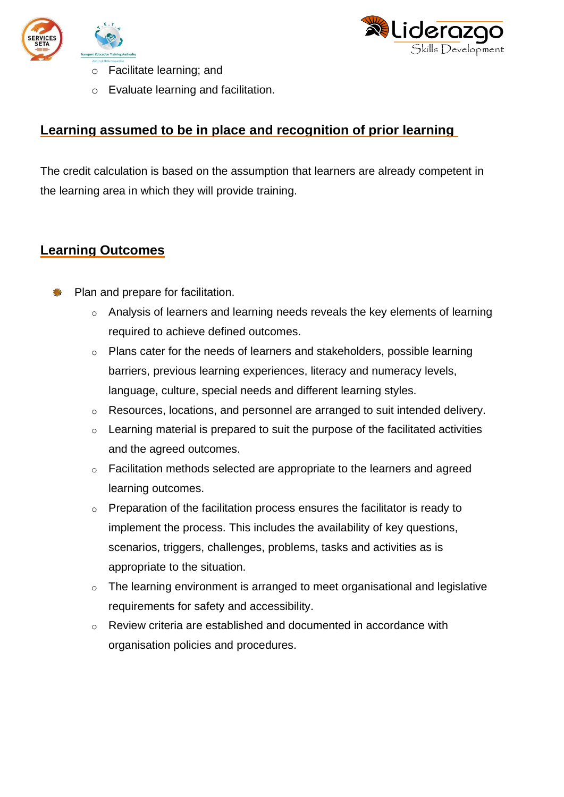



- o Facilitate learning; and
- o Evaluate learning and facilitation.

#### **Learning assumed to be in place and recognition of prior learning**

The credit calculation is based on the assumption that learners are already competent in the learning area in which they will provide training.

#### **Learning Outcomes**

- Plan and prepare for facilitation.
	- o Analysis of learners and learning needs reveals the key elements of learning required to achieve defined outcomes.
	- o Plans cater for the needs of learners and stakeholders, possible learning barriers, previous learning experiences, literacy and numeracy levels, language, culture, special needs and different learning styles.
	- o Resources, locations, and personnel are arranged to suit intended delivery.
	- $\circ$  Learning material is prepared to suit the purpose of the facilitated activities and the agreed outcomes.
	- o Facilitation methods selected are appropriate to the learners and agreed learning outcomes.
	- o Preparation of the facilitation process ensures the facilitator is ready to implement the process. This includes the availability of key questions, scenarios, triggers, challenges, problems, tasks and activities as is appropriate to the situation.
	- o The learning environment is arranged to meet organisational and legislative requirements for safety and accessibility.
	- o Review criteria are established and documented in accordance with organisation policies and procedures.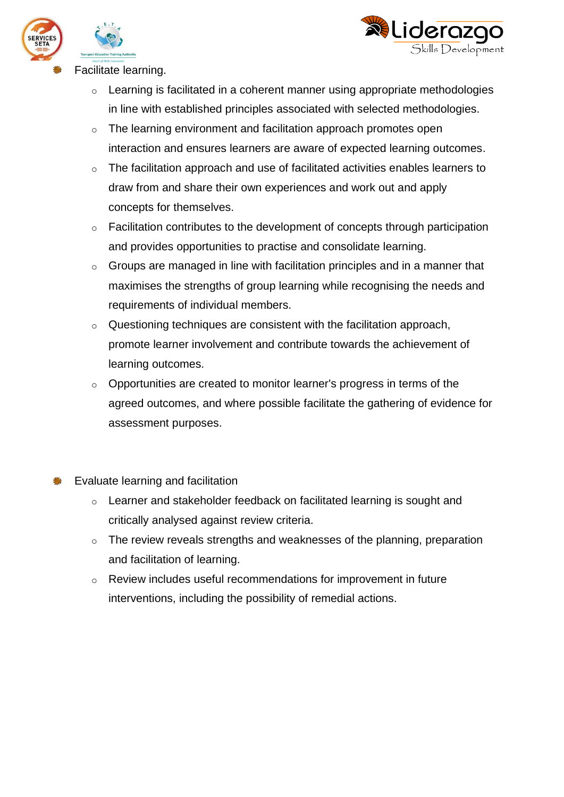



Facilitate learning.

- o Learning is facilitated in a coherent manner using appropriate methodologies in line with established principles associated with selected methodologies.
- o The learning environment and facilitation approach promotes open interaction and ensures learners are aware of expected learning outcomes.
- o The facilitation approach and use of facilitated activities enables learners to draw from and share their own experiences and work out and apply concepts for themselves.
- o Facilitation contributes to the development of concepts through participation and provides opportunities to practise and consolidate learning.
- o Groups are managed in line with facilitation principles and in a manner that maximises the strengths of group learning while recognising the needs and requirements of individual members.
- $\circ$  Questioning techniques are consistent with the facilitation approach, promote learner involvement and contribute towards the achievement of learning outcomes.
- o Opportunities are created to monitor learner's progress in terms of the agreed outcomes, and where possible facilitate the gathering of evidence for assessment purposes.

Evaluate learning and facilitation

- o Learner and stakeholder feedback on facilitated learning is sought and critically analysed against review criteria.
- o The review reveals strengths and weaknesses of the planning, preparation and facilitation of learning.
- $\circ$  Review includes useful recommendations for improvement in future interventions, including the possibility of remedial actions.